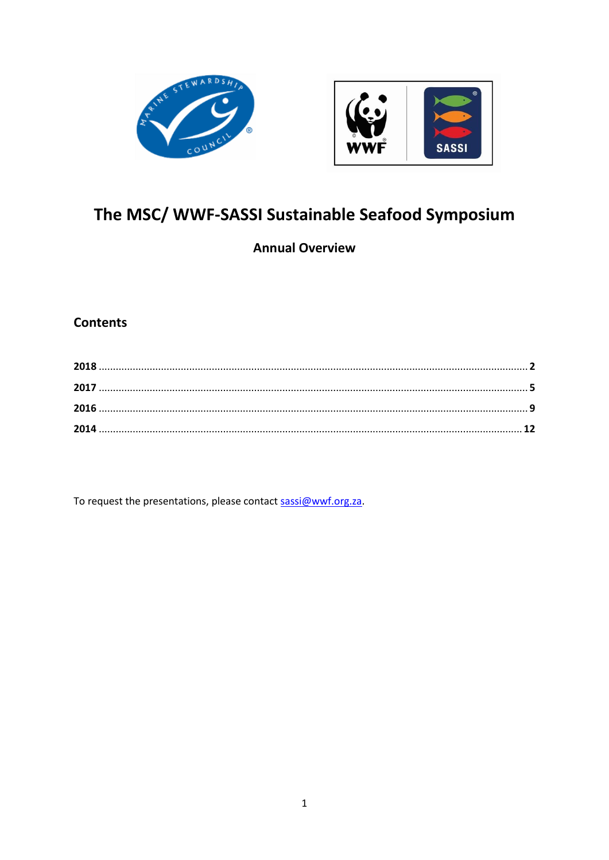



# The MSC/ WWF-SASSI Sustainable Seafood Symposium

# **Annual Overview**

# **Contents**

To request the presentations, please contact sassi@wwf.org.za.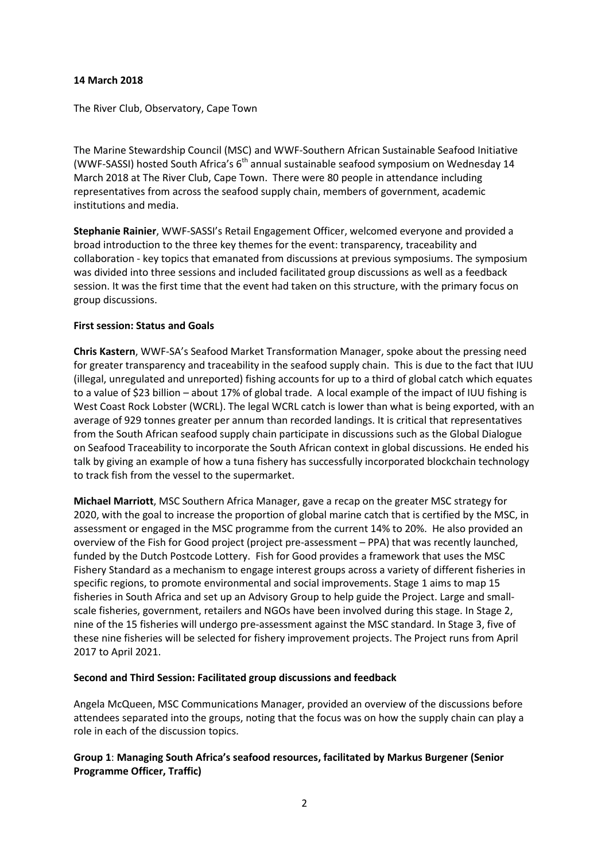#### **14 March 2018**

The River Club, Observatory, Cape Town

The Marine Stewardship Council (MSC) and WWF-Southern African Sustainable Seafood Initiative (WWF-SASSI) hosted South Africa's 6<sup>th</sup> annual sustainable seafood symposium on Wednesday 14 March 2018 at The River Club, Cape Town. There were 80 people in attendance including representatives from across the seafood supply chain, members of government, academic institutions and media.

**Stephanie Rainier**, WWF-SASSI's Retail Engagement Officer, welcomed everyone and provided a broad introduction to the three key themes for the event: transparency, traceability and collaboration - key topics that emanated from discussions at previous symposiums. The symposium was divided into three sessions and included facilitated group discussions as well as a feedback session. It was the first time that the event had taken on this structure, with the primary focus on group discussions.

#### **First session: Status and Goals**

**Chris Kastern**, WWF-SA's Seafood Market Transformation Manager, spoke about the pressing need for greater transparency and traceability in the seafood supply chain. This is due to the fact that IUU (illegal, unregulated and unreported) fishing accounts for up to a third of global catch which equates to a value of \$23 billion – about 17% of global trade. A local example of the impact of IUU fishing is West Coast Rock Lobster (WCRL). The legal WCRL catch is lower than what is being exported, with an average of 929 tonnes greater per annum than recorded landings. It is critical that representatives from the South African seafood supply chain participate in discussions such as the Global Dialogue on Seafood Traceability to incorporate the South African context in global discussions. He ended his talk by giving an example of how a tuna fishery has successfully incorporated blockchain technology to track fish from the vessel to the supermarket.

**Michael Marriott**, MSC Southern Africa Manager, gave a recap on the greater MSC strategy for 2020, with the goal to increase the proportion of global marine catch that is certified by the MSC, in assessment or engaged in the MSC programme from the current 14% to 20%. He also provided an overview of the Fish for Good project (project pre-assessment – PPA) that was recently launched, funded by the Dutch Postcode Lottery. Fish for Good provides a framework that uses the MSC Fishery Standard as a mechanism to engage interest groups across a variety of different fisheries in specific regions, to promote environmental and social improvements. Stage 1 aims to map 15 fisheries in South Africa and set up an Advisory Group to help guide the Project. Large and smallscale fisheries, government, retailers and NGOs have been involved during this stage. In Stage 2, nine of the 15 fisheries will undergo pre-assessment against the MSC standard. In Stage 3, five of these nine fisheries will be selected for fishery improvement projects. The Project runs from April 2017 to April 2021.

# **Second and Third Session: Facilitated group discussions and feedback**

Angela McQueen, MSC Communications Manager, provided an overview of the discussions before attendees separated into the groups, noting that the focus was on how the supply chain can play a role in each of the discussion topics.

# **Group 1**: **Managing South Africa's seafood resources, facilitated by Markus Burgener (Senior Programme Officer, Traffic)**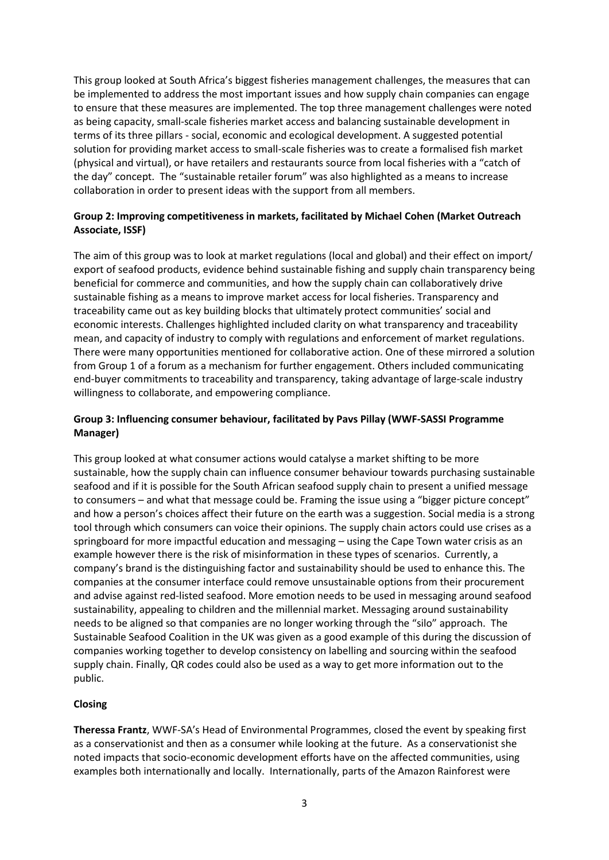This group looked at South Africa's biggest fisheries management challenges, the measures that can be implemented to address the most important issues and how supply chain companies can engage to ensure that these measures are implemented. The top three management challenges were noted as being capacity, small-scale fisheries market access and balancing sustainable development in terms of its three pillars - social, economic and ecological development. A suggested potential solution for providing market access to small-scale fisheries was to create a formalised fish market (physical and virtual), or have retailers and restaurants source from local fisheries with a "catch of the day" concept. The "sustainable retailer forum" was also highlighted as a means to increase collaboration in order to present ideas with the support from all members.

#### **Group 2: Improving competitiveness in markets, facilitated by Michael Cohen (Market Outreach Associate, ISSF)**

The aim of this group was to look at market regulations (local and global) and their effect on import/ export of seafood products, evidence behind sustainable fishing and supply chain transparency being beneficial for commerce and communities, and how the supply chain can collaboratively drive sustainable fishing as a means to improve market access for local fisheries. Transparency and traceability came out as key building blocks that ultimately protect communities' social and economic interests. Challenges highlighted included clarity on what transparency and traceability mean, and capacity of industry to comply with regulations and enforcement of market regulations. There were many opportunities mentioned for collaborative action. One of these mirrored a solution from Group 1 of a forum as a mechanism for further engagement. Others included communicating end-buyer commitments to traceability and transparency, taking advantage of large-scale industry willingness to collaborate, and empowering compliance.

# **Group 3: Influencing consumer behaviour, facilitated by Pavs Pillay (WWF-SASSI Programme Manager)**

This group looked at what consumer actions would catalyse a market shifting to be more sustainable, how the supply chain can influence consumer behaviour towards purchasing sustainable seafood and if it is possible for the South African seafood supply chain to present a unified message to consumers – and what that message could be. Framing the issue using a "bigger picture concept" and how a person's choices affect their future on the earth was a suggestion. Social media is a strong tool through which consumers can voice their opinions. The supply chain actors could use crises as a springboard for more impactful education and messaging – using the Cape Town water crisis as an example however there is the risk of misinformation in these types of scenarios. Currently, a company's brand is the distinguishing factor and sustainability should be used to enhance this. The companies at the consumer interface could remove unsustainable options from their procurement and advise against red-listed seafood. More emotion needs to be used in messaging around seafood sustainability, appealing to children and the millennial market. Messaging around sustainability needs to be aligned so that companies are no longer working through the "silo" approach. The Sustainable Seafood Coalition in the UK was given as a good example of this during the discussion of companies working together to develop consistency on labelling and sourcing within the seafood supply chain. Finally, QR codes could also be used as a way to get more information out to the public.

# **Closing**

**Theressa Frantz**, WWF-SA's Head of Environmental Programmes, closed the event by speaking first as a conservationist and then as a consumer while looking at the future. As a conservationist she noted impacts that socio-economic development efforts have on the affected communities, using examples both internationally and locally. Internationally, parts of the Amazon Rainforest were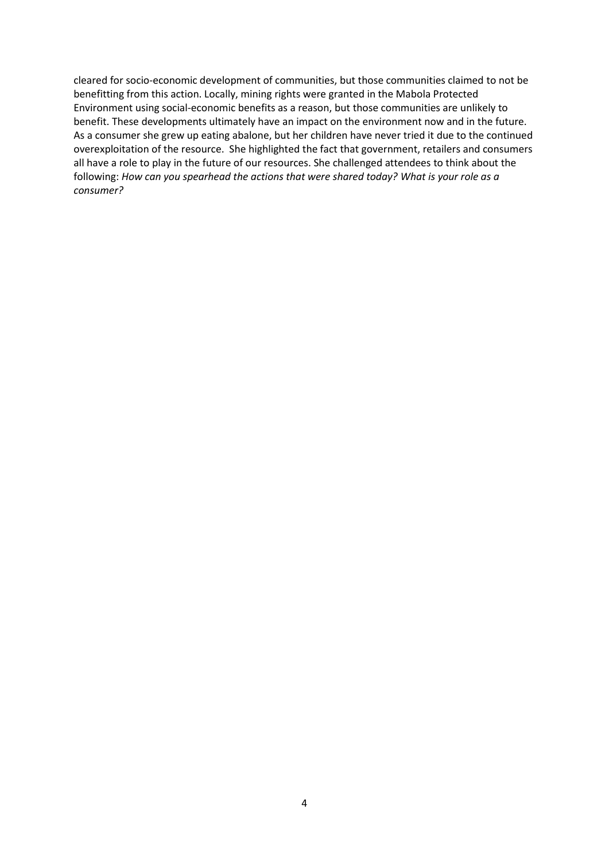cleared for socio-economic development of communities, but those communities claimed to not be benefitting from this action. Locally, mining rights were granted in the Mabola Protected Environment using social-economic benefits as a reason, but those communities are unlikely to benefit. These developments ultimately have an impact on the environment now and in the future. As a consumer she grew up eating abalone, but her children have never tried it due to the continued overexploitation of the resource. She highlighted the fact that government, retailers and consumers all have a role to play in the future of our resources. She challenged attendees to think about the following: *How can you spearhead the actions that were shared today? What is your role as a consumer?*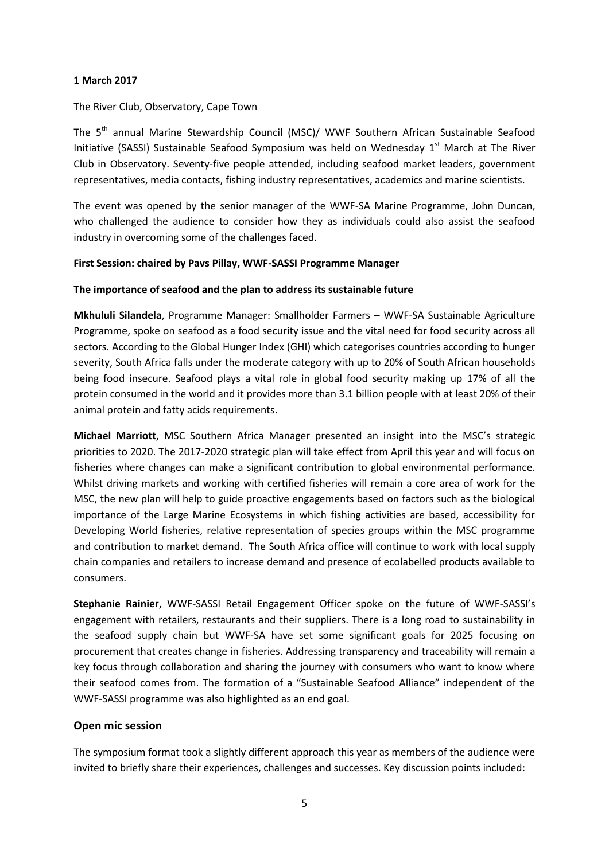#### **1 March 2017**

#### The River Club, Observatory, Cape Town

The 5<sup>th</sup> annual Marine Stewardship Council (MSC)/ WWF Southern African Sustainable Seafood Initiative (SASSI) Sustainable Seafood Symposium was held on Wednesday 1<sup>st</sup> March at The River Club in Observatory. Seventy-five people attended, including seafood market leaders, government representatives, media contacts, fishing industry representatives, academics and marine scientists.

The event was opened by the senior manager of the WWF-SA Marine Programme, John Duncan, who challenged the audience to consider how they as individuals could also assist the seafood industry in overcoming some of the challenges faced.

#### **First Session: chaired by Pavs Pillay, WWF-SASSI Programme Manager**

#### **The importance of seafood and the plan to address its sustainable future**

**Mkhululi Silandela**, Programme Manager: Smallholder Farmers – WWF-SA Sustainable Agriculture Programme, spoke on seafood as a food security issue and the vital need for food security across all sectors. According to the Global Hunger Index (GHI) which categorises countries according to hunger severity, South Africa falls under the moderate category with up to 20% of South African households being food insecure. Seafood plays a vital role in global food security making up 17% of all the protein consumed in the world and it provides more than 3.1 billion people with at least 20% of their animal protein and fatty acids requirements.

**Michael Marriott**, MSC Southern Africa Manager presented an insight into the MSC's strategic priorities to 2020. The 2017-2020 strategic plan will take effect from April this year and will focus on fisheries where changes can make a significant contribution to global environmental performance. Whilst driving markets and working with certified fisheries will remain a core area of work for the MSC, the new plan will help to guide proactive engagements based on factors such as the biological importance of the Large Marine Ecosystems in which fishing activities are based, accessibility for Developing World fisheries, relative representation of species groups within the MSC programme and contribution to market demand. The South Africa office will continue to work with local supply chain companies and retailers to increase demand and presence of ecolabelled products available to consumers.

**Stephanie Rainier**, WWF-SASSI Retail Engagement Officer spoke on the future of WWF-SASSI's engagement with retailers, restaurants and their suppliers. There is a long road to sustainability in the seafood supply chain but WWF-SA have set some significant goals for 2025 focusing on procurement that creates change in fisheries. Addressing transparency and traceability will remain a key focus through collaboration and sharing the journey with consumers who want to know where their seafood comes from. The formation of a "Sustainable Seafood Alliance" independent of the WWF-SASSI programme was also highlighted as an end goal.

# **Open mic session**

The symposium format took a slightly different approach this year as members of the audience were invited to briefly share their experiences, challenges and successes. Key discussion points included: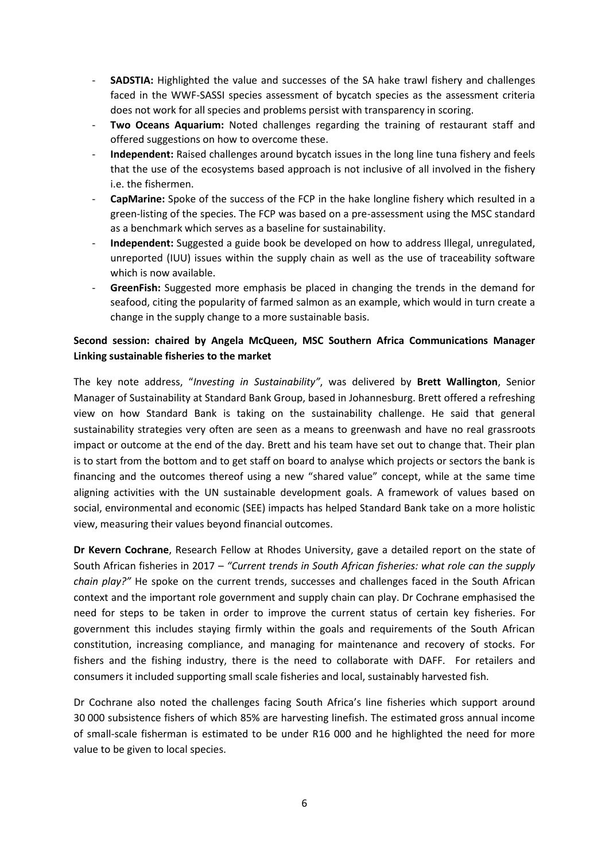- **SADSTIA:** Highlighted the value and successes of the SA hake trawl fishery and challenges faced in the WWF-SASSI species assessment of bycatch species as the assessment criteria does not work for all species and problems persist with transparency in scoring.
- **Two Oceans Aquarium:** Noted challenges regarding the training of restaurant staff and offered suggestions on how to overcome these.
- **Independent:** Raised challenges around bycatch issues in the long line tuna fishery and feels that the use of the ecosystems based approach is not inclusive of all involved in the fishery i.e. the fishermen.
- CapMarine: Spoke of the success of the FCP in the hake longline fishery which resulted in a green-listing of the species. The FCP was based on a pre-assessment using the MSC standard as a benchmark which serves as a baseline for sustainability.
- **Independent:** Suggested a guide book be developed on how to address Illegal, unregulated, unreported (IUU) issues within the supply chain as well as the use of traceability software which is now available.
- **GreenFish:** Suggested more emphasis be placed in changing the trends in the demand for seafood, citing the popularity of farmed salmon as an example, which would in turn create a change in the supply change to a more sustainable basis.

# **Second session: chaired by Angela McQueen, MSC Southern Africa Communications Manager Linking sustainable fisheries to the market**

The key note address, "*Investing in Sustainability"*, was delivered by **Brett Wallington**, Senior Manager of Sustainability at Standard Bank Group, based in Johannesburg. Brett offered a refreshing view on how Standard Bank is taking on the sustainability challenge. He said that general sustainability strategies very often are seen as a means to greenwash and have no real grassroots impact or outcome at the end of the day. Brett and his team have set out to change that. Their plan is to start from the bottom and to get staff on board to analyse which projects or sectors the bank is financing and the outcomes thereof using a new "shared value" concept, while at the same time aligning activities with the UN sustainable development goals. A framework of values based on social, environmental and economic (SEE) impacts has helped Standard Bank take on a more holistic view, measuring their values beyond financial outcomes.

**Dr Kevern Cochrane**, Research Fellow at Rhodes University, gave a detailed report on the state of South African fisheries in 2017 – *"Current trends in South African fisheries: what role can the supply chain play?"* He spoke on the current trends, successes and challenges faced in the South African context and the important role government and supply chain can play. Dr Cochrane emphasised the need for steps to be taken in order to improve the current status of certain key fisheries. For government this includes staying firmly within the goals and requirements of the South African constitution, increasing compliance, and managing for maintenance and recovery of stocks. For fishers and the fishing industry, there is the need to collaborate with DAFF. For retailers and consumers it included supporting small scale fisheries and local, sustainably harvested fish.

Dr Cochrane also noted the challenges facing South Africa's line fisheries which support around 30 000 subsistence fishers of which 85% are harvesting linefish. The estimated gross annual income of small-scale fisherman is estimated to be under R16 000 and he highlighted the need for more value to be given to local species.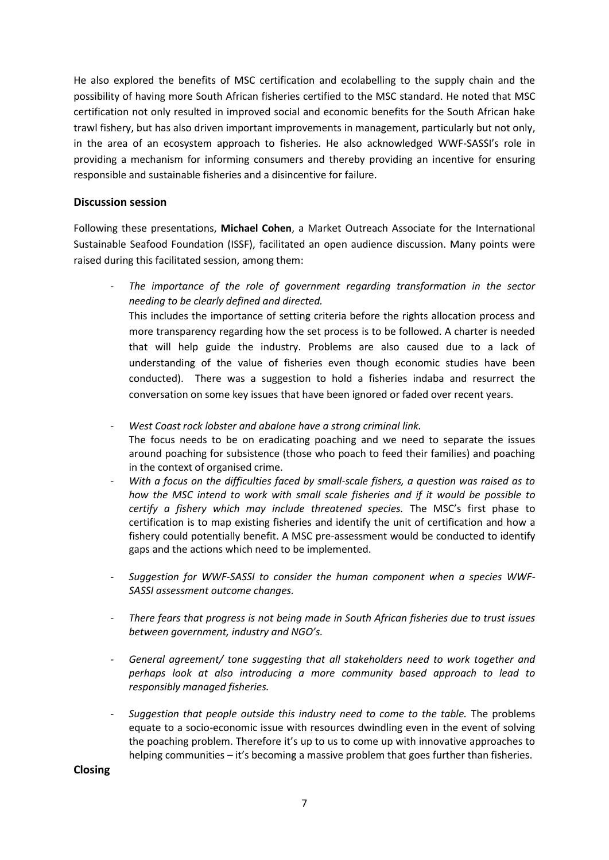He also explored the benefits of MSC certification and ecolabelling to the supply chain and the possibility of having more South African fisheries certified to the MSC standard. He noted that MSC certification not only resulted in improved social and economic benefits for the South African hake trawl fishery, but has also driven important improvements in management, particularly but not only, in the area of an ecosystem approach to fisheries. He also acknowledged WWF-SASSI's role in providing a mechanism for informing consumers and thereby providing an incentive for ensuring responsible and sustainable fisheries and a disincentive for failure.

#### **Discussion session**

Following these presentations, **Michael Cohen**, a Market Outreach Associate for the International Sustainable Seafood Foundation (ISSF), facilitated an open audience discussion. Many points were raised during this facilitated session, among them:

- *The importance of the role of government regarding transformation in the sector needing to be clearly defined and directed.* This includes the importance of setting criteria before the rights allocation process and more transparency regarding how the set process is to be followed. A charter is needed that will help guide the industry. Problems are also caused due to a lack of understanding of the value of fisheries even though economic studies have been conducted). There was a suggestion to hold a fisheries indaba and resurrect the conversation on some key issues that have been ignored or faded over recent years.

- *West Coast rock lobster and abalone have a strong criminal link.* The focus needs to be on eradicating poaching and we need to separate the issues around poaching for subsistence (those who poach to feed their families) and poaching in the context of organised crime.

- With a focus on the difficulties faced by small-scale fishers, a question was raised as to *how the MSC intend to work with small scale fisheries and if it would be possible to certify a fishery which may include threatened species.* The MSC's first phase to certification is to map existing fisheries and identify the unit of certification and how a fishery could potentially benefit. A MSC pre-assessment would be conducted to identify gaps and the actions which need to be implemented.
- *Suggestion for WWF-SASSI to consider the human component when a species WWF-SASSI assessment outcome changes.*
- *There fears that progress is not being made in South African fisheries due to trust issues between government, industry and NGO's.*
- General agreement/ tone suggesting that all stakeholders need to work together and *perhaps look at also introducing a more community based approach to lead to responsibly managed fisheries.*
- *Suggestion that people outside this industry need to come to the table.* The problems equate to a socio-economic issue with resources dwindling even in the event of solving the poaching problem. Therefore it's up to us to come up with innovative approaches to helping communities – it's becoming a massive problem that goes further than fisheries.

**Closing**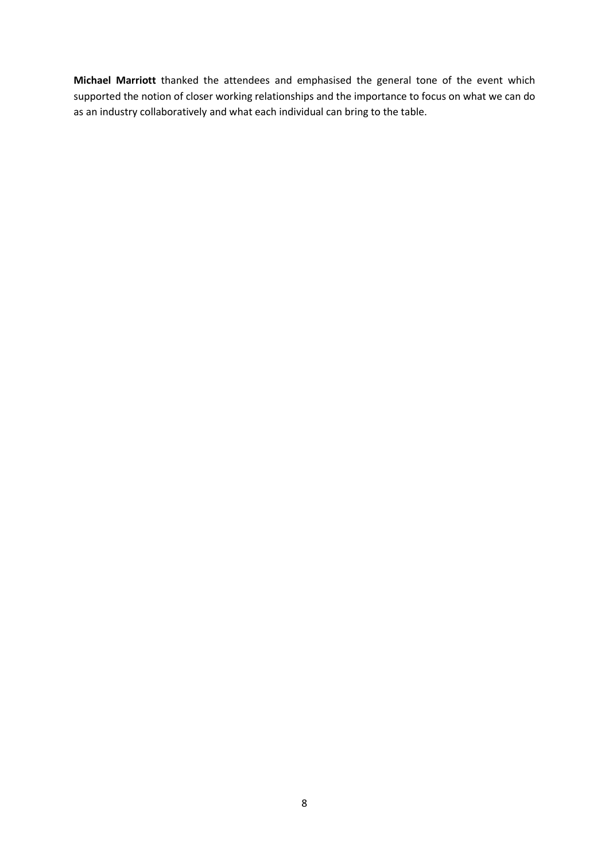**Michael Marriott** thanked the attendees and emphasised the general tone of the event which supported the notion of closer working relationships and the importance to focus on what we can do as an industry collaboratively and what each individual can bring to the table.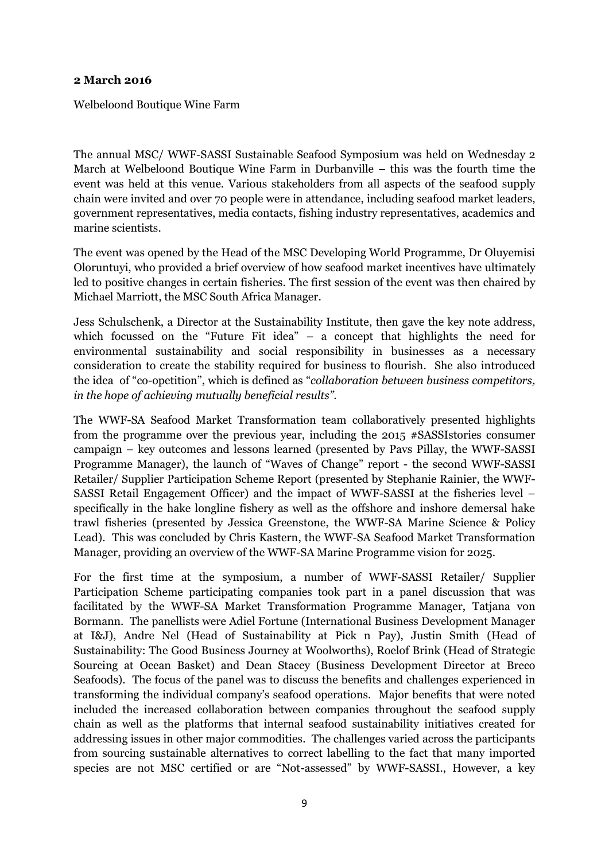# **2 March 2016**

Welbeloond Boutique Wine Farm

The annual MSC/ WWF-SASSI Sustainable Seafood Symposium was held on Wednesday 2 March at Welbeloond Boutique Wine Farm in Durbanville – this was the fourth time the event was held at this venue. Various stakeholders from all aspects of the seafood supply chain were invited and over 70 people were in attendance, including seafood market leaders, government representatives, media contacts, fishing industry representatives, academics and marine scientists.

The event was opened by the Head of the MSC Developing World Programme, Dr Oluyemisi Oloruntuyi, who provided a brief overview of how seafood market incentives have ultimately led to positive changes in certain fisheries. The first session of the event was then chaired by Michael Marriott, the MSC South Africa Manager.

Jess Schulschenk, a Director at the Sustainability Institute, then gave the key note address, which focussed on the "Future Fit idea" – a concept that highlights the need for environmental sustainability and social responsibility in businesses as a necessary consideration to create the stability required for business to flourish. She also introduced the idea of "co-opetition", which is defined as "*collaboration between business competitors, in the hope of achieving mutually beneficial results"*.

The WWF-SA Seafood Market Transformation team collaboratively presented highlights from the programme over the previous year, including the 2015 #SASSIstories consumer campaign – key outcomes and lessons learned (presented by Pavs Pillay, the WWF-SASSI Programme Manager), the launch of "Waves of Change" report - the second WWF-SASSI Retailer/ Supplier Participation Scheme Report (presented by Stephanie Rainier, the WWF-SASSI Retail Engagement Officer) and the impact of WWF-SASSI at the fisheries level – specifically in the hake longline fishery as well as the offshore and inshore demersal hake trawl fisheries (presented by Jessica Greenstone, the WWF-SA Marine Science & Policy Lead). This was concluded by Chris Kastern, the WWF-SA Seafood Market Transformation Manager, providing an overview of the WWF-SA Marine Programme vision for 2025.

For the first time at the symposium, a number of WWF-SASSI Retailer/ Supplier Participation Scheme participating companies took part in a panel discussion that was facilitated by the WWF-SA Market Transformation Programme Manager, Tatjana von Bormann. The panellists were Adiel Fortune (International Business Development Manager at I&J), Andre Nel (Head of Sustainability at Pick n Pay), Justin Smith (Head of Sustainability: The Good Business Journey at Woolworths), Roelof Brink (Head of Strategic Sourcing at Ocean Basket) and Dean Stacey (Business Development Director at Breco Seafoods). The focus of the panel was to discuss the benefits and challenges experienced in transforming the individual company's seafood operations. Major benefits that were noted included the increased collaboration between companies throughout the seafood supply chain as well as the platforms that internal seafood sustainability initiatives created for addressing issues in other major commodities. The challenges varied across the participants from sourcing sustainable alternatives to correct labelling to the fact that many imported species are not MSC certified or are "Not-assessed" by WWF-SASSI., However, a key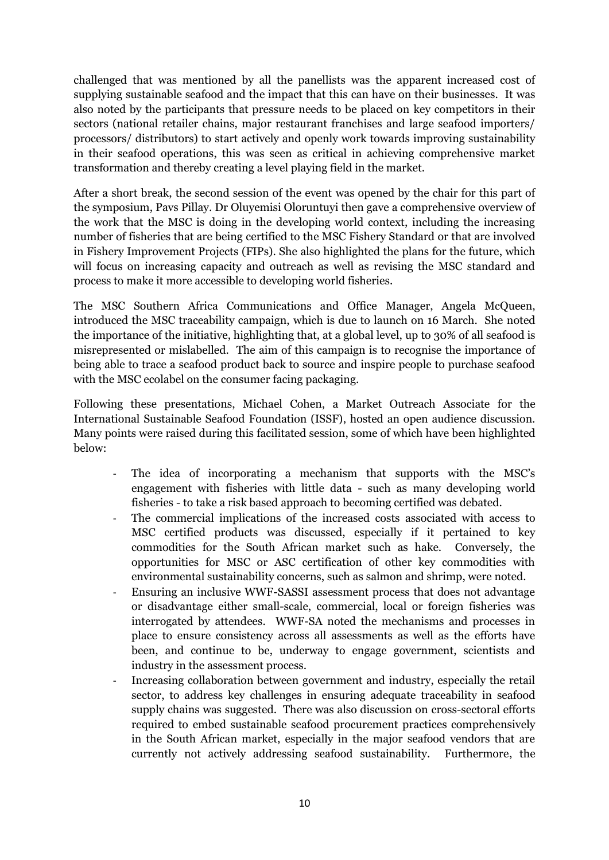challenged that was mentioned by all the panellists was the apparent increased cost of supplying sustainable seafood and the impact that this can have on their businesses. It was also noted by the participants that pressure needs to be placed on key competitors in their sectors (national retailer chains, major restaurant franchises and large seafood importers/ processors/ distributors) to start actively and openly work towards improving sustainability in their seafood operations, this was seen as critical in achieving comprehensive market transformation and thereby creating a level playing field in the market.

After a short break, the second session of the event was opened by the chair for this part of the symposium, Pavs Pillay. Dr Oluyemisi Oloruntuyi then gave a comprehensive overview of the work that the MSC is doing in the developing world context, including the increasing number of fisheries that are being certified to the MSC Fishery Standard or that are involved in Fishery Improvement Projects (FIPs). She also highlighted the plans for the future, which will focus on increasing capacity and outreach as well as revising the MSC standard and process to make it more accessible to developing world fisheries.

The MSC Southern Africa Communications and Office Manager, Angela McQueen, introduced the MSC traceability campaign, which is due to launch on 16 March. She noted the importance of the initiative, highlighting that, at a global level, up to 30% of all seafood is misrepresented or mislabelled. The aim of this campaign is to recognise the importance of being able to trace a seafood product back to source and inspire people to purchase seafood with the MSC ecolabel on the consumer facing packaging.

Following these presentations, Michael Cohen, a Market Outreach Associate for the International Sustainable Seafood Foundation (ISSF), hosted an open audience discussion. Many points were raised during this facilitated session, some of which have been highlighted below:

- The idea of incorporating a mechanism that supports with the MSC's engagement with fisheries with little data - such as many developing world fisheries - to take a risk based approach to becoming certified was debated.
- The commercial implications of the increased costs associated with access to MSC certified products was discussed, especially if it pertained to key commodities for the South African market such as hake. Conversely, the opportunities for MSC or ASC certification of other key commodities with environmental sustainability concerns, such as salmon and shrimp, were noted.
- Ensuring an inclusive WWF-SASSI assessment process that does not advantage or disadvantage either small-scale, commercial, local or foreign fisheries was interrogated by attendees. WWF-SA noted the mechanisms and processes in place to ensure consistency across all assessments as well as the efforts have been, and continue to be, underway to engage government, scientists and industry in the assessment process.
- Increasing collaboration between government and industry, especially the retail sector, to address key challenges in ensuring adequate traceability in seafood supply chains was suggested. There was also discussion on cross-sectoral efforts required to embed sustainable seafood procurement practices comprehensively in the South African market, especially in the major seafood vendors that are currently not actively addressing seafood sustainability. Furthermore, the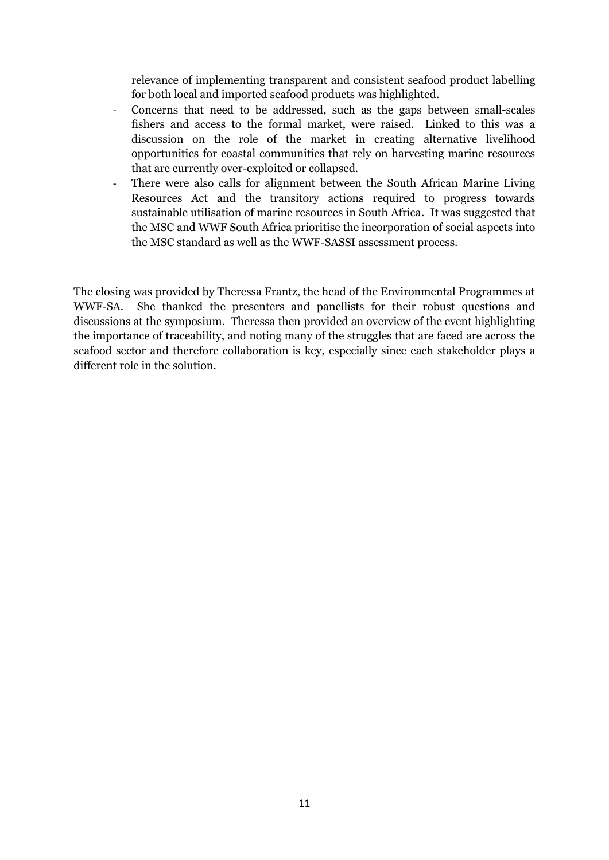relevance of implementing transparent and consistent seafood product labelling for both local and imported seafood products was highlighted.

- Concerns that need to be addressed, such as the gaps between small-scales fishers and access to the formal market, were raised. Linked to this was a discussion on the role of the market in creating alternative livelihood opportunities for coastal communities that rely on harvesting marine resources that are currently over-exploited or collapsed.
- There were also calls for alignment between the South African Marine Living Resources Act and the transitory actions required to progress towards sustainable utilisation of marine resources in South Africa. It was suggested that the MSC and WWF South Africa prioritise the incorporation of social aspects into the MSC standard as well as the WWF-SASSI assessment process.

The closing was provided by Theressa Frantz, the head of the Environmental Programmes at WWF-SA. She thanked the presenters and panellists for their robust questions and discussions at the symposium. Theressa then provided an overview of the event highlighting the importance of traceability, and noting many of the struggles that are faced are across the seafood sector and therefore collaboration is key, especially since each stakeholder plays a different role in the solution.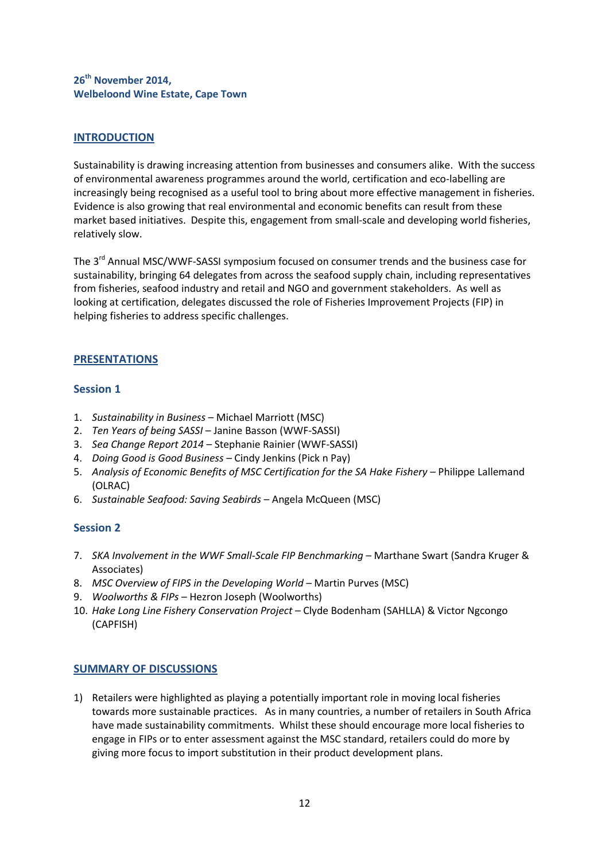# **26th November 2014, Welbeloond Wine Estate, Cape Town**

# **INTRODUCTION**

Sustainability is drawing increasing attention from businesses and consumers alike. With the success of environmental awareness programmes around the world, certification and eco-labelling are increasingly being recognised as a useful tool to bring about more effective management in fisheries. Evidence is also growing that real environmental and economic benefits can result from these market based initiatives. Despite this, engagement from small-scale and developing world fisheries, relatively slow.

The 3<sup>rd</sup> Annual MSC/WWF-SASSI symposium focused on consumer trends and the business case for sustainability, bringing 64 delegates from across the seafood supply chain, including representatives from fisheries, seafood industry and retail and NGO and government stakeholders. As well as looking at certification, delegates discussed the role of Fisheries Improvement Projects (FIP) in helping fisheries to address specific challenges.

# **PRESENTATIONS**

#### **Session 1**

- 1. *Sustainability in Business* Michael Marriott (MSC)
- 2. *Ten Years of being SASSI*  Janine Basson (WWF-SASSI)
- 3. *Sea Change Report 2014* Stephanie Rainier (WWF-SASSI)
- 4. *Doing Good is Good Business* Cindy Jenkins (Pick n Pay)
- 5. *Analysis of Economic Benefits of MSC Certification for the SA Hake Fishery* Philippe Lallemand (OLRAC)
- 6. *Sustainable Seafood: Saving Seabirds* Angela McQueen (MSC)

# **Session 2**

- 7. *SKA Involvement in the WWF Small-Scale FIP Benchmarking* Marthane Swart (Sandra Kruger & Associates)
- 8. *MSC Overview of FIPS in the Developing World* Martin Purves (MSC)
- 9. *Woolworths & FIPs* Hezron Joseph (Woolworths)
- 10. *Hake Long Line Fishery Conservation Project* Clyde Bodenham (SAHLLA) & Victor Ngcongo (CAPFISH)

# **SUMMARY OF DISCUSSIONS**

1) Retailers were highlighted as playing a potentially important role in moving local fisheries towards more sustainable practices. As in many countries, a number of retailers in South Africa have made sustainability commitments. Whilst these should encourage more local fisheries to engage in FIPs or to enter assessment against the MSC standard, retailers could do more by giving more focus to import substitution in their product development plans.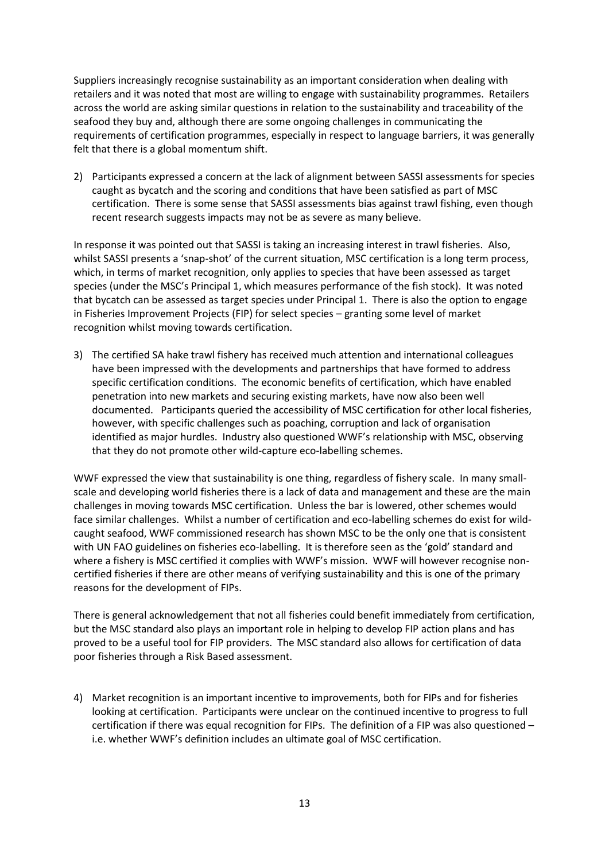Suppliers increasingly recognise sustainability as an important consideration when dealing with retailers and it was noted that most are willing to engage with sustainability programmes. Retailers across the world are asking similar questions in relation to the sustainability and traceability of the seafood they buy and, although there are some ongoing challenges in communicating the requirements of certification programmes, especially in respect to language barriers, it was generally felt that there is a global momentum shift.

2) Participants expressed a concern at the lack of alignment between SASSI assessments for species caught as bycatch and the scoring and conditions that have been satisfied as part of MSC certification. There is some sense that SASSI assessments bias against trawl fishing, even though recent research suggests impacts may not be as severe as many believe.

In response it was pointed out that SASSI is taking an increasing interest in trawl fisheries. Also, whilst SASSI presents a 'snap-shot' of the current situation, MSC certification is a long term process, which, in terms of market recognition, only applies to species that have been assessed as target species (under the MSC's Principal 1, which measures performance of the fish stock). It was noted that bycatch can be assessed as target species under Principal 1. There is also the option to engage in Fisheries Improvement Projects (FIP) for select species – granting some level of market recognition whilst moving towards certification.

3) The certified SA hake trawl fishery has received much attention and international colleagues have been impressed with the developments and partnerships that have formed to address specific certification conditions. The economic benefits of certification, which have enabled penetration into new markets and securing existing markets, have now also been well documented. Participants queried the accessibility of MSC certification for other local fisheries, however, with specific challenges such as poaching, corruption and lack of organisation identified as major hurdles. Industry also questioned WWF's relationship with MSC, observing that they do not promote other wild-capture eco-labelling schemes.

WWF expressed the view that sustainability is one thing, regardless of fishery scale. In many smallscale and developing world fisheries there is a lack of data and management and these are the main challenges in moving towards MSC certification. Unless the bar is lowered, other schemes would face similar challenges. Whilst a number of certification and eco-labelling schemes do exist for wildcaught seafood, WWF commissioned research has shown MSC to be the only one that is consistent with UN FAO guidelines on fisheries eco-labelling. It is therefore seen as the 'gold' standard and where a fishery is MSC certified it complies with WWF's mission. WWF will however recognise noncertified fisheries if there are other means of verifying sustainability and this is one of the primary reasons for the development of FIPs.

There is general acknowledgement that not all fisheries could benefit immediately from certification, but the MSC standard also plays an important role in helping to develop FIP action plans and has proved to be a useful tool for FIP providers. The MSC standard also allows for certification of data poor fisheries through a Risk Based assessment.

4) Market recognition is an important incentive to improvements, both for FIPs and for fisheries looking at certification. Participants were unclear on the continued incentive to progress to full certification if there was equal recognition for FIPs. The definition of a FIP was also questioned – i.e. whether WWF's definition includes an ultimate goal of MSC certification.